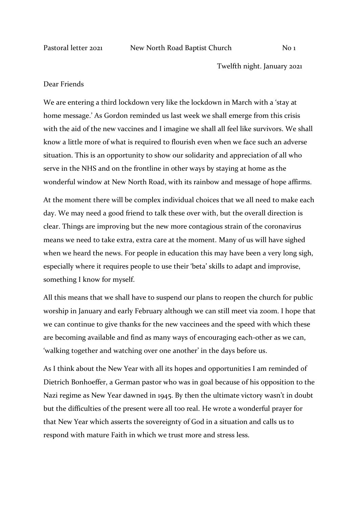Twelfth night. January 2021

## Dear Friends

We are entering a third lockdown very like the lockdown in March with a 'stay at home message.' As Gordon reminded us last week we shall emerge from this crisis with the aid of the new vaccines and I imagine we shall all feel like survivors. We shall know a little more of what is required to flourish even when we face such an adverse situation. This is an opportunity to show our solidarity and appreciation of all who serve in the NHS and on the frontline in other ways by staying at home as the wonderful window at New North Road, with its rainbow and message of hope affirms.

At the moment there will be complex individual choices that we all need to make each day. We may need a good friend to talk these over with, but the overall direction is clear. Things are improving but the new more contagious strain of the coronavirus means we need to take extra, extra care at the moment. Many of us will have sighed when we heard the news. For people in education this may have been a very long sigh, especially where it requires people to use their 'beta' skills to adapt and improvise, something I know for myself.

All this means that we shall have to suspend our plans to reopen the church for public worship in January and early February although we can still meet via zoom. I hope that we can continue to give thanks for the new vaccinees and the speed with which these are becoming available and find as many ways of encouraging each-other as we can, 'walking together and watching over one another' in the days before us.

As I think about the New Year with all its hopes and opportunities I am reminded of Dietrich Bonhoeffer, a German pastor who was in goal because of his opposition to the Nazi regime as New Year dawned in 1945. By then the ultimate victory wasn't in doubt but the difficulties of the present were all too real. He wrote a wonderful prayer for that New Year which asserts the sovereignty of God in a situation and calls us to respond with mature Faith in which we trust more and stress less.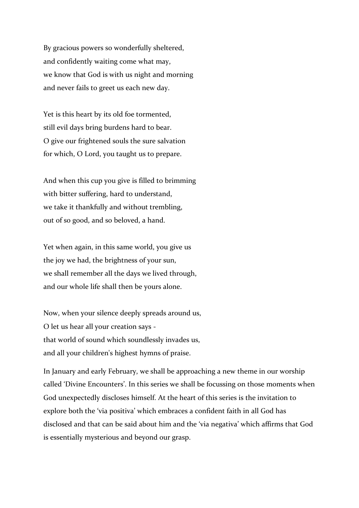By gracious powers so wonderfully sheltered, and confidently waiting come what may, we know that God is with us night and morning and never fails to greet us each new day.

Yet is this heart by its old foe tormented, still evil days bring burdens hard to bear. O give our frightened souls the sure salvation for which, O Lord, you taught us to prepare.

And when this cup you give is filled to brimming with bitter suffering, hard to understand, we take it thankfully and without trembling, out of so good, and so beloved, a hand.

Yet when again, in this same world, you give us the joy we had, the brightness of your sun, we shall remember all the days we lived through, and our whole life shall then be yours alone.

Now, when your silence deeply spreads around us, O let us hear all your creation says that world of sound which soundlessly invades us, and all your children's highest hymns of praise.

In January and early February, we shall be approaching a new theme in our worship called 'Divine Encounters'. In this series we shall be focussing on those moments when God unexpectedly discloses himself. At the heart of this series is the invitation to explore both the 'via positiva' which embraces a confident faith in all God has disclosed and that can be said about him and the 'via negativa' which affirms that God is essentially mysterious and beyond our grasp.